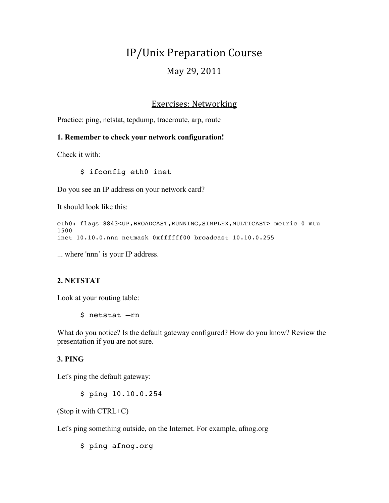# IP/Unix Preparation Course May 29, 2011

# **Exercises: Networking**

Practice: ping, netstat, tcpdump, traceroute, arp, route

#### **1. Remember to check your network configuration!**

Check it with:

\$ ifconfig eth0 inet

Do you see an IP address on your network card?

It should look like this:

```
eth0: flags=8843<UP,BROADCAST,RUNNING,SIMPLEX,MULTICAST> metric 0 mtu 
1500
inet 10.10.0.nnn netmask 0xffffff00 broadcast 10.10.0.255
```
... where 'nnn' is your IP address.

#### **2. NETSTAT**

Look at your routing table:

\$ netstat –rn

What do you notice? Is the default gateway configured? How do you know? Review the presentation if you are not sure.

#### **3. PING**

Let's ping the default gateway:

\$ ping 10.10.0.254

(Stop it with CTRL+C)

Let's ping something outside, on the Internet. For example, afnog.org

\$ ping afnog.org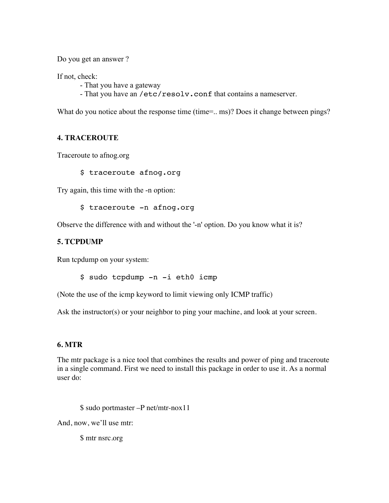Do you get an answer ?

If not, check:

- That you have a gateway
- That you have an /etc/resolv.conf that contains a nameserver.

What do you notice about the response time (time=.. ms)? Does it change between pings?

## **4. TRACEROUTE**

Traceroute to afnog.org

\$ traceroute afnog.org

Try again, this time with the -n option:

\$ traceroute -n afnog.org

Observe the difference with and without the '-n' option. Do you know what it is?

## **5. TCPDUMP**

Run tcpdump on your system:

\$ sudo tcpdump -n -i eth0 icmp

(Note the use of the icmp keyword to limit viewing only ICMP traffic)

Ask the instructor(s) or your neighbor to ping your machine, and look at your screen.

#### **6. MTR**

The mtr package is a nice tool that combines the results and power of ping and traceroute in a single command. First we need to install this package in order to use it. As a normal user do:

\$ sudo portmaster –P net/mtr-nox11

And, now, we'll use mtr:

\$ mtr nsrc.org